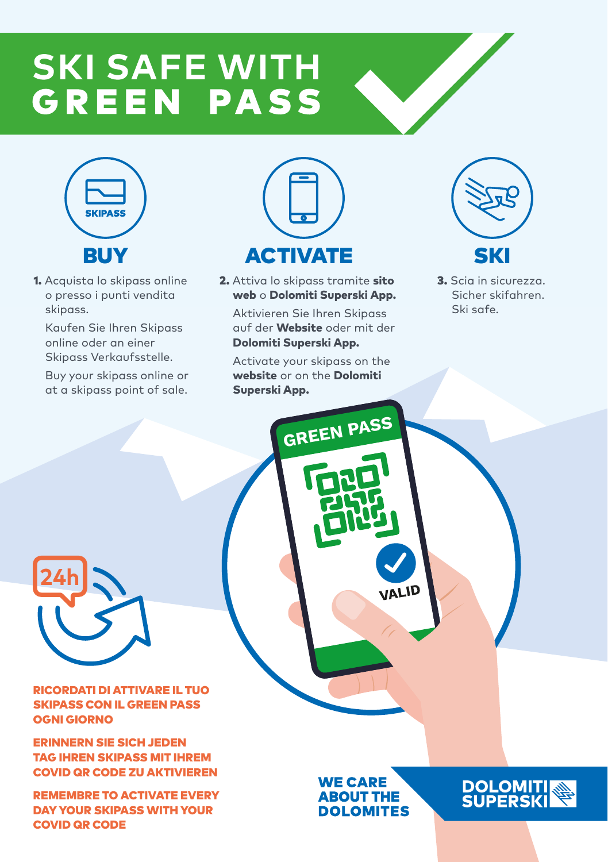## **SKI SAFE WITH GREEN PASS**



1. Acquista lo skipass online o presso i punti vendita skipass.

Kaufen Sie Ihren Skipass online oder an einer Skipass Verkaufsstelle.

Buy your skipass online or at a skipass point of sale.



2. Attiva lo skipass tramite sito web o Dolomiti Superski App.

Aktivieren Sie Ihren Skipass auf der Website oder mit der Dolomiti Superski App.

Activate your skipass on the website or on the Dolomiti Superski App.

**GREEN PASS**



3. Scia in sicurezza. Sicher skifahren. Ski safe.

**24h**

MAX 80% of the state of the state of the state of the state of the state of the state of the state of the state RICORDATI DI ATTIVARE IL TUO SKIPASS CON IL GREEN PASS OGNI GIORNO

ERINNERN SIE SICH JEDEN TAG IHREN SKIPASS MIT IHREM COVID QR CODE ZU AKTIVIEREN

REMEMBRE TO ACTIVATE EVERY DAY YOUR SKIPASS WITH YOUR COVID QR CODE

**WE CARE ABOUT THE DOLOMITES** 

**IALID**